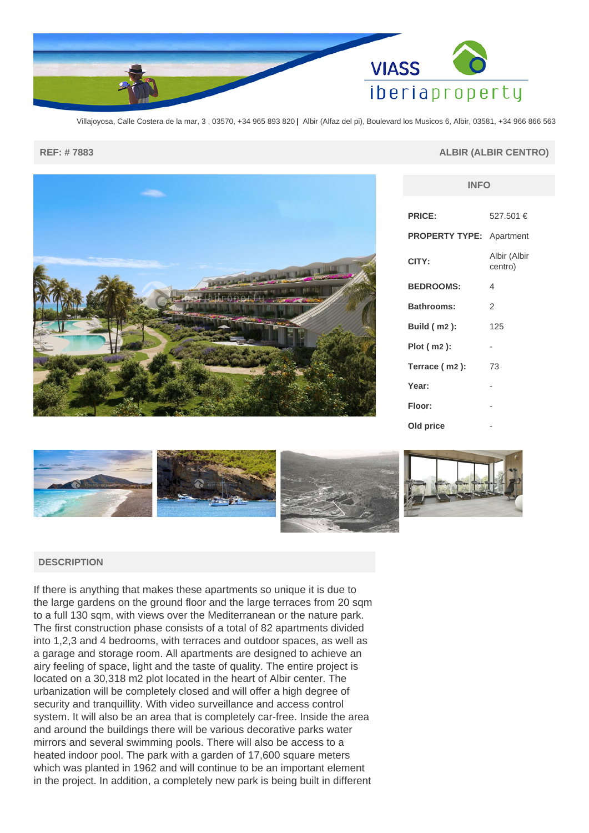

Villajoyosa, Calle Costera de la mar, 3 , 03570, +34 965 893 820 **|** Albir (Alfaz del pi), Boulevard los Musicos 6, Albir, 03581, +34 966 866 563

## **REF: # 7883 ALBIR (ALBIR CENTRO)**

**INFO**



| <b>PRICE:</b>         | 527.501 €               |
|-----------------------|-------------------------|
| <b>PROPERTY TYPE:</b> | Apartment               |
| CITY:                 | Albir (Albir<br>centro) |
| <b>BEDROOMS:</b>      | 4                       |
| <b>Bathrooms:</b>     | 2                       |
| <b>Build (m2):</b>    | 125                     |
| Plot ( m2 ):          | -                       |
| Terrace (m2):         | 73                      |
| Year:                 |                         |
| Floor:                |                         |
| Old price             |                         |



## **DESCRIPTION**

If there is anything that makes these apartments so unique it is due to the large gardens on the ground floor and the large terraces from 20 sqm to a full 130 sqm, with views over the Mediterranean or the nature park. The first construction phase consists of a total of 82 apartments divided into 1,2,3 and 4 bedrooms, with terraces and outdoor spaces, as well as a garage and storage room. All apartments are designed to achieve an airy feeling of space, light and the taste of quality. The entire project is located on a 30,318 m2 plot located in the heart of Albir center. The urbanization will be completely closed and will offer a high degree of security and tranquillity. With video surveillance and access control system. It will also be an area that is completely car-free. Inside the area and around the buildings there will be various decorative parks water mirrors and several swimming pools. There will also be access to a heated indoor pool. The park with a garden of 17,600 square meters which was planted in 1962 and will continue to be an important element in the project. In addition, a completely new park is being built in different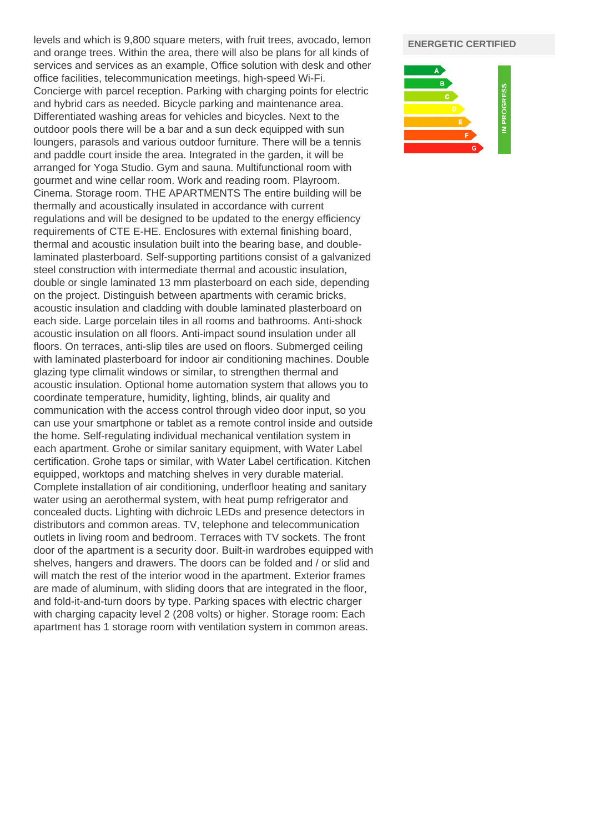levels and which is 9,800 square meters, with fruit trees, avocado, lemon and orange trees. Within the area, there will also be plans for all kinds of services and services as an example, Office solution with desk and other office facilities, telecommunication meetings, high-speed Wi-Fi. Concierge with parcel reception. Parking with charging points for electric and hybrid cars as needed. Bicycle parking and maintenance area. Differentiated washing areas for vehicles and bicycles. Next to the outdoor pools there will be a bar and a sun deck equipped with sun loungers, parasols and various outdoor furniture. There will be a tennis and paddle court inside the area. Integrated in the garden, it will be arranged for Yoga Studio. Gym and sauna. Multifunctional room with gourmet and wine cellar room. Work and reading room. Playroom. Cinema. Storage room. THE APARTMENTS The entire building will be thermally and acoustically insulated in accordance with current regulations and will be designed to be updated to the energy efficiency requirements of CTE E-HE. Enclosures with external finishing board, thermal and acoustic insulation built into the bearing base, and doublelaminated plasterboard. Self-supporting partitions consist of a galvanized steel construction with intermediate thermal and acoustic insulation, double or single laminated 13 mm plasterboard on each side, depending on the project. Distinguish between apartments with ceramic bricks, acoustic insulation and cladding with double laminated plasterboard on each side. Large porcelain tiles in all rooms and bathrooms. Anti-shock acoustic insulation on all floors. Anti-impact sound insulation under all floors. On terraces, anti-slip tiles are used on floors. Submerged ceiling with laminated plasterboard for indoor air conditioning machines. Double glazing type climalit windows or similar, to strengthen thermal and acoustic insulation. Optional home automation system that allows you to coordinate temperature, humidity, lighting, blinds, air quality and communication with the access control through video door input, so you can use your smartphone or tablet as a remote control inside and outside the home. Self-regulating individual mechanical ventilation system in each apartment. Grohe or similar sanitary equipment, with Water Label certification. Grohe taps or similar, with Water Label certification. Kitchen equipped, worktops and matching shelves in very durable material. Complete installation of air conditioning, underfloor heating and sanitary water using an aerothermal system, with heat pump refrigerator and concealed ducts. Lighting with dichroic LEDs and presence detectors in distributors and common areas. TV, telephone and telecommunication outlets in living room and bedroom. Terraces with TV sockets. The front door of the apartment is a security door. Built-in wardrobes equipped with shelves, hangers and drawers. The doors can be folded and / or slid and will match the rest of the interior wood in the apartment. Exterior frames are made of aluminum, with sliding doors that are integrated in the floor, and fold-it-and-turn doors by type. Parking spaces with electric charger with charging capacity level 2 (208 volts) or higher. Storage room: Each apartment has 1 storage room with ventilation system in common areas.

## **ENERGETIC CERTIFIED**